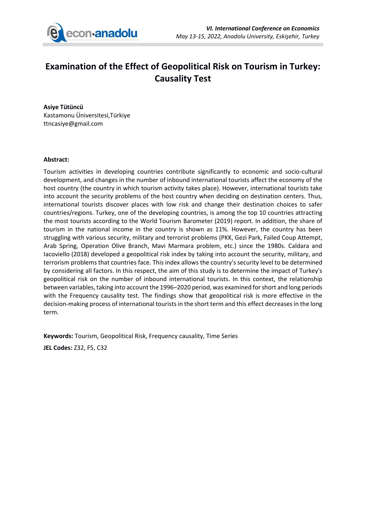

## **Examination of the Effect of Geopolitical Risk on Tourism in Turkey: Causality Test**

**Asiye Tütüncü** Kastamonu Üniversitesi,Türkiye ttncasiye@gmail.com

## **Abstract:**

Tourism activities in developing countries contribute significantly to economic and socio-cultural development, and changes in the number of inbound international tourists affect the economy of the host country (the country in which tourism activity takes place). However, international tourists take into account the security problems of the host country when deciding on destination centers. Thus, international tourists discover places with low risk and change their destination choices to safer countries/regions. Turkey, one of the developing countries, is among the top 10 countries attracting the most tourists according to the World Tourism Barometer (2019) report. In addition, the share of tourism in the national income in the country is shown as 11%. However, the country has been struggling with various security, military and terrorist problems (PKK, Gezi Park, Failed Coup Attempt, Arab Spring, Operation Olive Branch, Mavi Marmara problem, etc.) since the 1980s. Caldara and Iacoviello (2018) developed a geopolitical risk index by taking into account the security, military, and terrorism problems that countries face. This index allows the country's security level to be determined by considering all factors. In this respect, the aim of this study is to determine the impact of Turkey's geopolitical risk on the number of inbound international tourists. In this context, the relationship between variables, taking into account the 1996–2020 period, was examined for short and long periods with the Frequency causality test. The findings show that geopolitical risk is more effective in the decision-making process of international tourists in the short term and this effect decreases in the long term.

**Keywords:** Tourism, Geopolitical Risk, Frequency causality, Time Series

**JEL Codes:** Z32, F5, C32